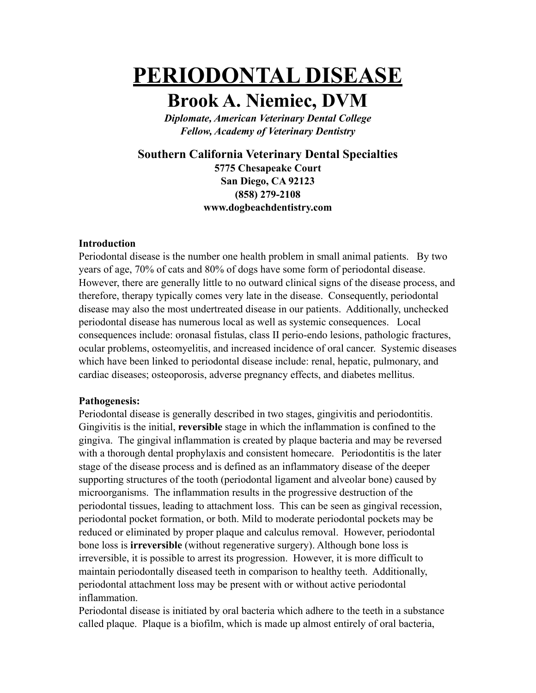# **PERIODONTAL DISEASE**

# **Brook A. Niemiec, DVM**

*Diplomate, American Veterinary Dental College Fellow, Academy of Veterinary Dentistry*

**Southern California Veterinary Dental Specialties**

**5775 Chesapeake Court San Diego, CA 92123 (858) 279-2108 www.dogbeachdentistry.com**

## **Introduction**

Periodontal disease is the number one health problem in small animal patients. By two years of age, 70% of cats and 80% of dogs have some form of periodontal disease. However, there are generally little to no outward clinical signs of the disease process, and therefore, therapy typically comes very late in the disease. Consequently, periodontal disease may also the most undertreated disease in our patients. Additionally, unchecked periodontal disease has numerous local as well as systemic consequences. Local consequences include: oronasal fistulas, class II perio-endo lesions, pathologic fractures, ocular problems, osteomyelitis, and increased incidence of oral cancer. Systemic diseases which have been linked to periodontal disease include: renal, hepatic, pulmonary, and cardiac diseases; osteoporosis, adverse pregnancy effects, and diabetes mellitus.

# **Pathogenesis:**

Periodontal disease is generally described in two stages, gingivitis and periodontitis. Gingivitis is the initial, **reversible** stage in which the inflammation is confined to the gingiva. The gingival inflammation is created by plaque bacteria and may be reversed with a thorough dental prophylaxis and consistent homecare. Periodontitis is the later stage of the disease process and is defined as an inflammatory disease of the deeper supporting structures of the tooth (periodontal ligament and alveolar bone) caused by microorganisms. The inflammation results in the progressive destruction of the periodontal tissues, leading to attachment loss. This can be seen as gingival recession, periodontal pocket formation, or both. Mild to moderate periodontal pockets may be reduced or eliminated by proper plaque and calculus removal. However, periodontal bone loss is **irreversible** (without regenerative surgery). Although bone loss is irreversible, it is possible to arrest its progression. However, it is more difficult to maintain periodontally diseased teeth in comparison to healthy teeth. Additionally, periodontal attachment loss may be present with or without active periodontal inflammation.

Periodontal disease is initiated by oral bacteria which adhere to the teeth in a substance called plaque. Plaque is a biofilm, which is made up almost entirely of oral bacteria,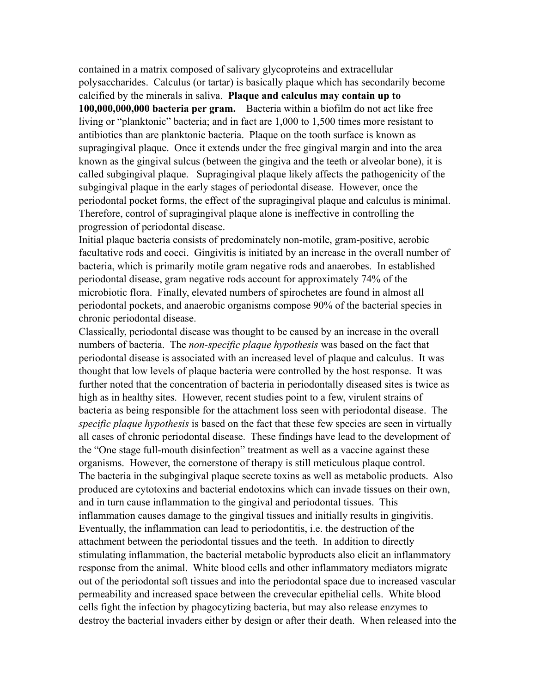contained in a matrix composed of salivary glycoproteins and extracellular polysaccharides. Calculus (or tartar) is basically plaque which has secondarily become calcified by the minerals in saliva. **Plaque and calculus may contain up to 100,000,000,000 bacteria per gram.** Bacteria within a biofilm do not act like free living or "planktonic" bacteria; and in fact are 1,000 to 1,500 times more resistant to antibiotics than are planktonic bacteria. Plaque on the tooth surface is known as supragingival plaque. Once it extends under the free gingival margin and into the area known as the gingival sulcus (between the gingiva and the teeth or alveolar bone), it is called subgingival plaque. Supragingival plaque likely affects the pathogenicity of the subgingival plaque in the early stages of periodontal disease. However, once the periodontal pocket forms, the effect of the supragingival plaque and calculus is minimal. Therefore, control of supragingival plaque alone is ineffective in controlling the progression of periodontal disease.

Initial plaque bacteria consists of predominately non-motile, gram-positive, aerobic facultative rods and cocci. Gingivitis is initiated by an increase in the overall number of bacteria, which is primarily motile gram negative rods and anaerobes. In established periodontal disease, gram negative rods account for approximately 74% of the microbiotic flora. Finally, elevated numbers of spirochetes are found in almost all periodontal pockets, and anaerobic organisms compose 90% of the bacterial species in chronic periodontal disease.

Classically, periodontal disease was thought to be caused by an increase in the overall numbers of bacteria. The *non-specific plaque hypothesis* was based on the fact that periodontal disease is associated with an increased level of plaque and calculus. It was thought that low levels of plaque bacteria were controlled by the host response. It was further noted that the concentration of bacteria in periodontally diseased sites is twice as high as in healthy sites. However, recent studies point to a few, virulent strains of bacteria as being responsible for the attachment loss seen with periodontal disease. The *specific plaque hypothesis* is based on the fact that these few species are seen in virtually all cases of chronic periodontal disease. These findings have lead to the development of the "One stage full-mouth disinfection" treatment as well as a vaccine against these organisms. However, the cornerstone of therapy is still meticulous plaque control. The bacteria in the subgingival plaque secrete toxins as well as metabolic products. Also produced are cytotoxins and bacterial endotoxins which can invade tissues on their own, and in turn cause inflammation to the gingival and periodontal tissues. This inflammation causes damage to the gingival tissues and initially results in gingivitis. Eventually, the inflammation can lead to periodontitis, i.e. the destruction of the attachment between the periodontal tissues and the teeth. In addition to directly stimulating inflammation, the bacterial metabolic byproducts also elicit an inflammatory response from the animal. White blood cells and other inflammatory mediators migrate out of the periodontal soft tissues and into the periodontal space due to increased vascular permeability and increased space between the crevecular epithelial cells. White blood cells fight the infection by phagocytizing bacteria, but may also release enzymes to destroy the bacterial invaders either by design or after their death. When released into the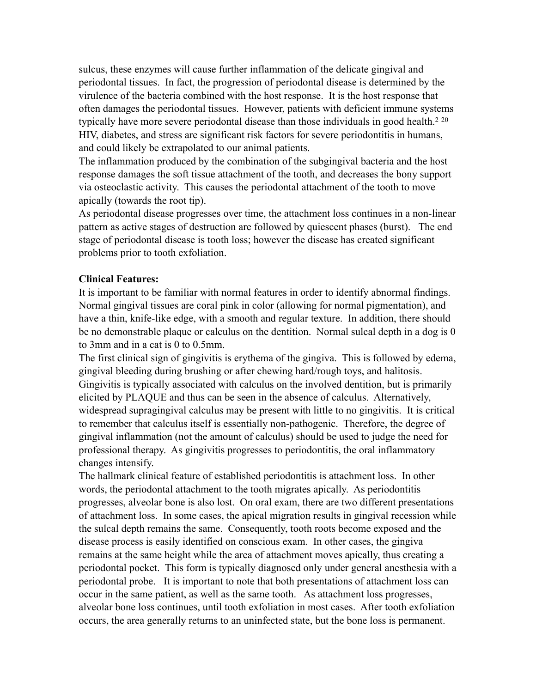sulcus, these enzymes will cause further inflammation of the delicate gingival and periodontal tissues. In fact, the progression of periodontal disease is determined by the virulence of the bacteria combined with the host response. It is the host response that often damages the periodontal tissues. However, patients with deficient immune systems typically have more severe periodontal disease than those individuals in good health.<sup>2 20</sup> HIV, diabetes, and stress are significant risk factors for severe periodontitis in humans, and could likely be extrapolated to our animal patients.

The inflammation produced by the combination of the subgingival bacteria and the host response damages the soft tissue attachment of the tooth, and decreases the bony support via osteoclastic activity. This causes the periodontal attachment of the tooth to move apically (towards the root tip).

As periodontal disease progresses over time, the attachment loss continues in a non-linear pattern as active stages of destruction are followed by quiescent phases (burst). The end stage of periodontal disease is tooth loss; however the disease has created significant problems prior to tooth exfoliation.

### **Clinical Features:**

It is important to be familiar with normal features in order to identify abnormal findings. Normal gingival tissues are coral pink in color (allowing for normal pigmentation), and have a thin, knife-like edge, with a smooth and regular texture. In addition, there should be no demonstrable plaque or calculus on the dentition. Normal sulcal depth in a dog is 0 to 3mm and in a cat is 0 to 0.5mm.

The first clinical sign of gingivitis is erythema of the gingiva. This is followed by edema, gingival bleeding during brushing or after chewing hard/rough toys, and halitosis. Gingivitis is typically associated with calculus on the involved dentition, but is primarily elicited by PLAQUE and thus can be seen in the absence of calculus. Alternatively, widespread supragingival calculus may be present with little to no gingivitis. It is critical to remember that calculus itself is essentially non-pathogenic. Therefore, the degree of gingival inflammation (not the amount of calculus) should be used to judge the need for professional therapy. As gingivitis progresses to periodontitis, the oral inflammatory changes intensify.

The hallmark clinical feature of established periodontitis is attachment loss. In other words, the periodontal attachment to the tooth migrates apically. As periodontitis progresses, alveolar bone is also lost. On oral exam, there are two different presentations of attachment loss. In some cases, the apical migration results in gingival recession while the sulcal depth remains the same. Consequently, tooth roots become exposed and the disease process is easily identified on conscious exam. In other cases, the gingiva remains at the same height while the area of attachment moves apically, thus creating a periodontal pocket. This form is typically diagnosed only under general anesthesia with a periodontal probe. It is important to note that both presentations of attachment loss can occur in the same patient, as well as the same tooth. As attachment loss progresses, alveolar bone loss continues, until tooth exfoliation in most cases. After tooth exfoliation occurs, the area generally returns to an uninfected state, but the bone loss is permanent.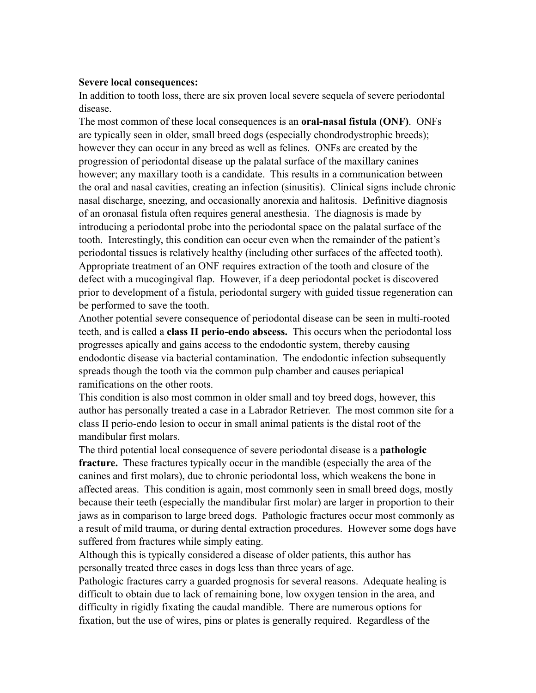#### **Severe local consequences:**

In addition to tooth loss, there are six proven local severe sequela of severe periodontal disease.

The most common of these local consequences is an **oral-nasal fistula (ONF)**. ONFs are typically seen in older, small breed dogs (especially chondrodystrophic breeds); however they can occur in any breed as well as felines. ONFs are created by the progression of periodontal disease up the palatal surface of the maxillary canines however; any maxillary tooth is a candidate. This results in a communication between the oral and nasal cavities, creating an infection (sinusitis). Clinical signs include chronic nasal discharge, sneezing, and occasionally anorexia and halitosis. Definitive diagnosis of an oronasal fistula often requires general anesthesia. The diagnosis is made by introducing a periodontal probe into the periodontal space on the palatal surface of the tooth. Interestingly, this condition can occur even when the remainder of the patient's periodontal tissues is relatively healthy (including other surfaces of the affected tooth). Appropriate treatment of an ONF requires extraction of the tooth and closure of the defect with a mucogingival flap. However, if a deep periodontal pocket is discovered prior to development of a fistula, periodontal surgery with guided tissue regeneration can be performed to save the tooth.

Another potential severe consequence of periodontal disease can be seen in multi-rooted teeth, and is called a **class II perio-endo abscess.** This occurs when the periodontal loss progresses apically and gains access to the endodontic system, thereby causing endodontic disease via bacterial contamination. The endodontic infection subsequently spreads though the tooth via the common pulp chamber and causes periapical ramifications on the other roots.

This condition is also most common in older small and toy breed dogs, however, this author has personally treated a case in a Labrador Retriever. The most common site for a class II perio-endo lesion to occur in small animal patients is the distal root of the mandibular first molars.

The third potential local consequence of severe periodontal disease is a **pathologic fracture.** These fractures typically occur in the mandible (especially the area of the canines and first molars), due to chronic periodontal loss, which weakens the bone in affected areas. This condition is again, most commonly seen in small breed dogs, mostly because their teeth (especially the mandibular first molar) are larger in proportion to their jaws as in comparison to large breed dogs. Pathologic fractures occur most commonly as a result of mild trauma, or during dental extraction procedures. However some dogs have suffered from fractures while simply eating.

Although this is typically considered a disease of older patients, this author has personally treated three cases in dogs less than three years of age.

Pathologic fractures carry a guarded prognosis for several reasons. Adequate healing is difficult to obtain due to lack of remaining bone, low oxygen tension in the area, and difficulty in rigidly fixating the caudal mandible. There are numerous options for fixation, but the use of wires, pins or plates is generally required. Regardless of the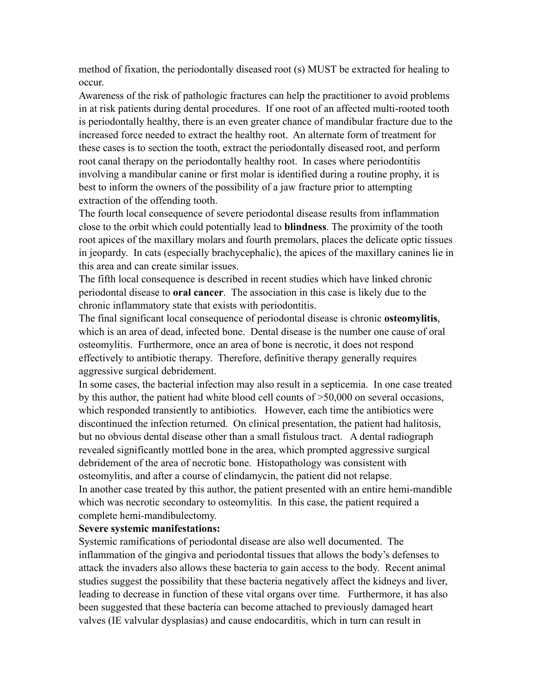method of fixation, the periodontally diseased root (s) MUST be extracted for healing to occur.

Awareness of the risk of pathologic fractures can help the practitioner to avoid problems in at risk patients during dental procedures. If one root of an affected multi-rooted tooth is periodontally healthy, there is an even greater chance of mandibular fracture due to the increased force needed to extract the healthy root. An alternate form of treatment for these cases is to section the tooth, extract the periodontally diseased root, and perform root canal therapy on the periodontally healthy root. In cases where periodontitis involving a mandibular canine or first molar is identified during a routine prophy, it is best to inform the owners of the possibility of a jaw fracture prior to attempting extraction of the offending tooth.

The fourth local consequence of severe periodontal disease results from inflammation close to the orbit which could potentially lead to **blindness**. The proximity of the tooth root apices of the maxillary molars and fourth premolars, places the delicate optic tissues in jeopardy. In cats (especially brachycephalic), the apices of the maxillary canines lie in this area and can create similar issues.

The fifth local consequence is described in recent studies which have linked chronic periodontal disease to **oral cancer**. The association in this case is likely due to the chronic inflammatory state that exists with periodontitis.

The final significant local consequence of periodontal disease is chronic **osteomylitis**, which is an area of dead, infected bone. Dental disease is the number one cause of oral osteomylitis. Furthermore, once an area of bone is necrotic, it does not respond effectively to antibiotic therapy. Therefore, definitive therapy generally requires aggressive surgical debridement.

In some cases, the bacterial infection may also result in a septicemia. In one case treated by this author, the patient had white blood cell counts of >50,000 on several occasions, which responded transiently to antibiotics. However, each time the antibiotics were discontinued the infection returned. On clinical presentation, the patient had halitosis, but no obvious dental disease other than a small fistulous tract. A dental radiograph revealed significantly mottled bone in the area, which prompted aggressive surgical debridement of the area of necrotic bone. Histopathology was consistent with osteomylitis, and after a course of clindamycin, the patient did not relapse. In another case treated by this author, the patient presented with an entire hemi-mandible which was necrotic secondary to osteomylitis. In this case, the patient required a complete hemi-mandibulectomy.

#### **Severe systemic manifestations:**

Systemic ramifications of periodontal disease are also well documented. The inflammation of the gingiva and periodontal tissues that allows the body's defenses to attack the invaders also allows these bacteria to gain access to the body. Recent animal studies suggest the possibility that these bacteria negatively affect the kidneys and liver, leading to decrease in function of these vital organs over time. Furthermore, it has also been suggested that these bacteria can become attached to previously damaged heart valves (IE valvular dysplasias) and cause endocarditis, which in turn can result in